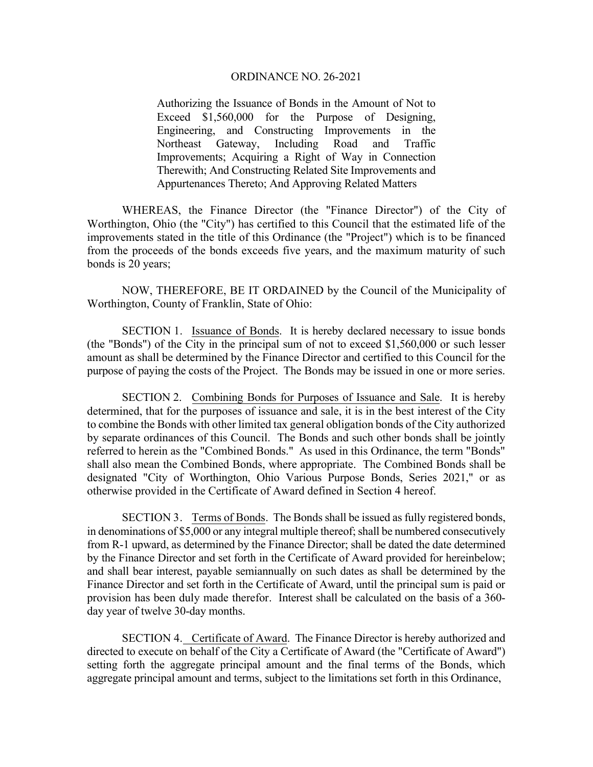Authorizing the Issuance of Bonds in the Amount of Not to Exceed \$1,560,000 for the Purpose of Designing, Engineering, and Constructing Improvements in the Northeast Gateway, Including Road and Traffic Improvements; Acquiring a Right of Way in Connection Therewith; And Constructing Related Site Improvements and Appurtenances Thereto; And Approving Related Matters

WHEREAS, the Finance Director (the "Finance Director") of the City of Worthington, Ohio (the "City") has certified to this Council that the estimated life of the improvements stated in the title of this Ordinance (the "Project") which is to be financed from the proceeds of the bonds exceeds five years, and the maximum maturity of such bonds is 20 years;

NOW, THEREFORE, BE IT ORDAINED by the Council of the Municipality of Worthington, County of Franklin, State of Ohio:

SECTION 1. Issuance of Bonds. It is hereby declared necessary to issue bonds (the "Bonds") of the City in the principal sum of not to exceed \$1,560,000 or such lesser amount as shall be determined by the Finance Director and certified to this Council for the purpose of paying the costs of the Project. The Bonds may be issued in one or more series.

SECTION 2. Combining Bonds for Purposes of Issuance and Sale. It is hereby determined, that for the purposes of issuance and sale, it is in the best interest of the City to combine the Bonds with other limited tax general obligation bonds of the City authorized by separate ordinances of this Council. The Bonds and such other bonds shall be jointly referred to herein as the "Combined Bonds." As used in this Ordinance, the term "Bonds" shall also mean the Combined Bonds, where appropriate. The Combined Bonds shall be designated "City of Worthington, Ohio Various Purpose Bonds, Series 2021," or as otherwise provided in the Certificate of Award defined in Section 4 hereof.

SECTION 3. Terms of Bonds. The Bonds shall be issued as fully registered bonds, in denominations of \$5,000 or any integral multiple thereof; shall be numbered consecutively from R-1 upward, as determined by the Finance Director; shall be dated the date determined by the Finance Director and set forth in the Certificate of Award provided for hereinbelow; and shall bear interest, payable semiannually on such dates as shall be determined by the Finance Director and set forth in the Certificate of Award, until the principal sum is paid or provision has been duly made therefor. Interest shall be calculated on the basis of a 360 day year of twelve 30-day months.

SECTION 4. Certificate of Award. The Finance Director is hereby authorized and directed to execute on behalf of the City a Certificate of Award (the "Certificate of Award") setting forth the aggregate principal amount and the final terms of the Bonds, which aggregate principal amount and terms, subject to the limitations set forth in this Ordinance,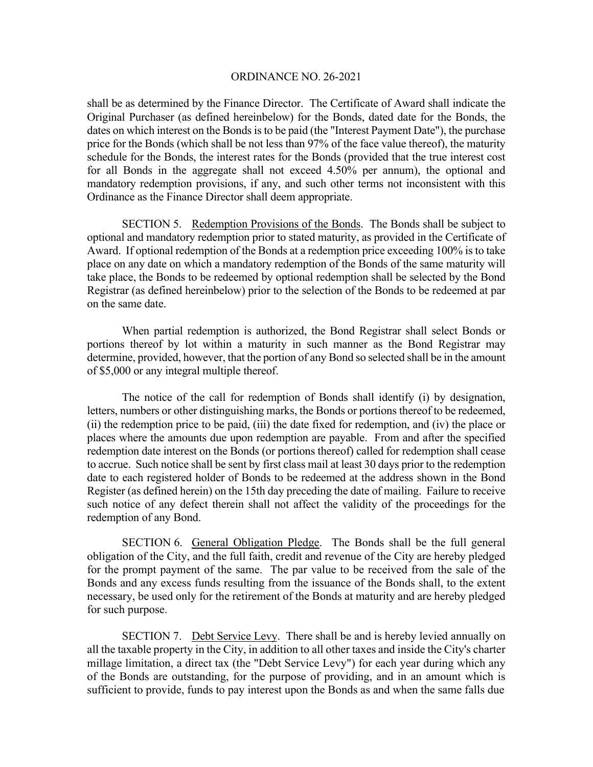shall be as determined by the Finance Director. The Certificate of Award shall indicate the Original Purchaser (as defined hereinbelow) for the Bonds, dated date for the Bonds, the dates on which interest on the Bonds is to be paid (the "Interest Payment Date"), the purchase price for the Bonds (which shall be not less than 97% of the face value thereof), the maturity schedule for the Bonds, the interest rates for the Bonds (provided that the true interest cost for all Bonds in the aggregate shall not exceed 4.50% per annum), the optional and mandatory redemption provisions, if any, and such other terms not inconsistent with this Ordinance as the Finance Director shall deem appropriate.

SECTION 5. Redemption Provisions of the Bonds. The Bonds shall be subject to optional and mandatory redemption prior to stated maturity, as provided in the Certificate of Award. If optional redemption of the Bonds at a redemption price exceeding 100% is to take place on any date on which a mandatory redemption of the Bonds of the same maturity will take place, the Bonds to be redeemed by optional redemption shall be selected by the Bond Registrar (as defined hereinbelow) prior to the selection of the Bonds to be redeemed at par on the same date.

When partial redemption is authorized, the Bond Registrar shall select Bonds or portions thereof by lot within a maturity in such manner as the Bond Registrar may determine, provided, however, that the portion of any Bond so selected shall be in the amount of \$5,000 or any integral multiple thereof.

The notice of the call for redemption of Bonds shall identify (i) by designation, letters, numbers or other distinguishing marks, the Bonds or portions thereof to be redeemed, (ii) the redemption price to be paid, (iii) the date fixed for redemption, and (iv) the place or places where the amounts due upon redemption are payable. From and after the specified redemption date interest on the Bonds (or portions thereof) called for redemption shall cease to accrue. Such notice shall be sent by first class mail at least 30 days prior to the redemption date to each registered holder of Bonds to be redeemed at the address shown in the Bond Register (as defined herein) on the 15th day preceding the date of mailing. Failure to receive such notice of any defect therein shall not affect the validity of the proceedings for the redemption of any Bond.

SECTION 6. General Obligation Pledge. The Bonds shall be the full general obligation of the City, and the full faith, credit and revenue of the City are hereby pledged for the prompt payment of the same. The par value to be received from the sale of the Bonds and any excess funds resulting from the issuance of the Bonds shall, to the extent necessary, be used only for the retirement of the Bonds at maturity and are hereby pledged for such purpose.

SECTION 7. Debt Service Levy. There shall be and is hereby levied annually on all the taxable property in the City, in addition to all other taxes and inside the City's charter millage limitation, a direct tax (the "Debt Service Levy") for each year during which any of the Bonds are outstanding, for the purpose of providing, and in an amount which is sufficient to provide, funds to pay interest upon the Bonds as and when the same falls due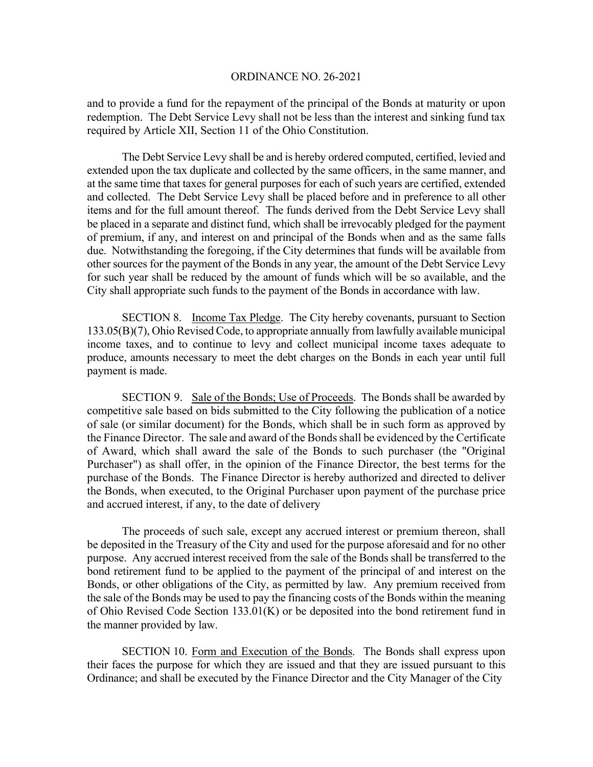and to provide a fund for the repayment of the principal of the Bonds at maturity or upon redemption. The Debt Service Levy shall not be less than the interest and sinking fund tax required by Article XII, Section 11 of the Ohio Constitution.

The Debt Service Levy shall be and is hereby ordered computed, certified, levied and extended upon the tax duplicate and collected by the same officers, in the same manner, and at the same time that taxes for general purposes for each of such years are certified, extended and collected. The Debt Service Levy shall be placed before and in preference to all other items and for the full amount thereof. The funds derived from the Debt Service Levy shall be placed in a separate and distinct fund, which shall be irrevocably pledged for the payment of premium, if any, and interest on and principal of the Bonds when and as the same falls due. Notwithstanding the foregoing, if the City determines that funds will be available from other sources for the payment of the Bonds in any year, the amount of the Debt Service Levy for such year shall be reduced by the amount of funds which will be so available, and the City shall appropriate such funds to the payment of the Bonds in accordance with law.

 SECTION 8. Income Tax Pledge. The City hereby covenants, pursuant to Section 133.05(B)(7), Ohio Revised Code, to appropriate annually from lawfully available municipal income taxes, and to continue to levy and collect municipal income taxes adequate to produce, amounts necessary to meet the debt charges on the Bonds in each year until full payment is made.

SECTION 9. Sale of the Bonds; Use of Proceeds. The Bonds shall be awarded by competitive sale based on bids submitted to the City following the publication of a notice of sale (or similar document) for the Bonds, which shall be in such form as approved by the Finance Director. The sale and award of the Bonds shall be evidenced by the Certificate of Award, which shall award the sale of the Bonds to such purchaser (the "Original Purchaser") as shall offer, in the opinion of the Finance Director, the best terms for the purchase of the Bonds. The Finance Director is hereby authorized and directed to deliver the Bonds, when executed, to the Original Purchaser upon payment of the purchase price and accrued interest, if any, to the date of delivery

The proceeds of such sale, except any accrued interest or premium thereon, shall be deposited in the Treasury of the City and used for the purpose aforesaid and for no other purpose. Any accrued interest received from the sale of the Bonds shall be transferred to the bond retirement fund to be applied to the payment of the principal of and interest on the Bonds, or other obligations of the City, as permitted by law. Any premium received from the sale of the Bonds may be used to pay the financing costs of the Bonds within the meaning of Ohio Revised Code Section 133.01(K) or be deposited into the bond retirement fund in the manner provided by law.

 SECTION 10. Form and Execution of the Bonds. The Bonds shall express upon their faces the purpose for which they are issued and that they are issued pursuant to this Ordinance; and shall be executed by the Finance Director and the City Manager of the City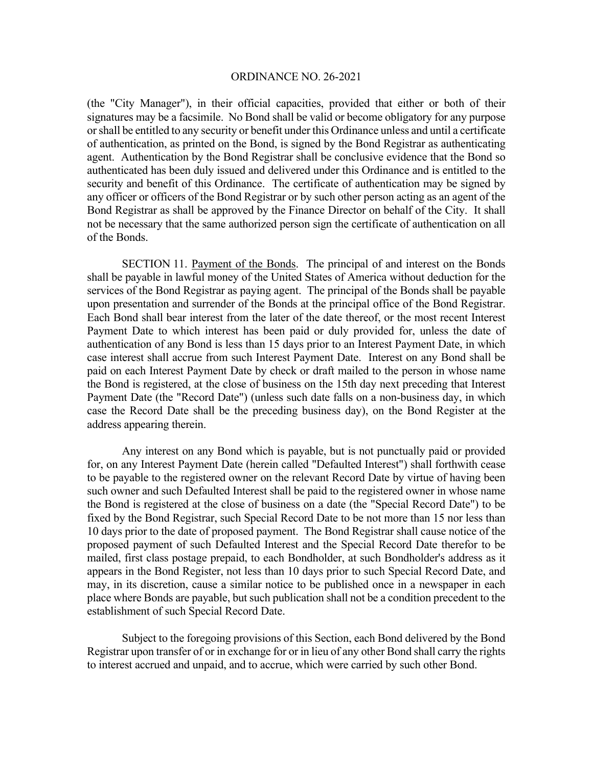(the "City Manager"), in their official capacities, provided that either or both of their signatures may be a facsimile. No Bond shall be valid or become obligatory for any purpose or shall be entitled to any security or benefit under this Ordinance unless and until a certificate of authentication, as printed on the Bond, is signed by the Bond Registrar as authenticating agent. Authentication by the Bond Registrar shall be conclusive evidence that the Bond so authenticated has been duly issued and delivered under this Ordinance and is entitled to the security and benefit of this Ordinance. The certificate of authentication may be signed by any officer or officers of the Bond Registrar or by such other person acting as an agent of the Bond Registrar as shall be approved by the Finance Director on behalf of the City. It shall not be necessary that the same authorized person sign the certificate of authentication on all of the Bonds.

SECTION 11. Payment of the Bonds. The principal of and interest on the Bonds shall be payable in lawful money of the United States of America without deduction for the services of the Bond Registrar as paying agent. The principal of the Bonds shall be payable upon presentation and surrender of the Bonds at the principal office of the Bond Registrar. Each Bond shall bear interest from the later of the date thereof, or the most recent Interest Payment Date to which interest has been paid or duly provided for, unless the date of authentication of any Bond is less than 15 days prior to an Interest Payment Date, in which case interest shall accrue from such Interest Payment Date. Interest on any Bond shall be paid on each Interest Payment Date by check or draft mailed to the person in whose name the Bond is registered, at the close of business on the 15th day next preceding that Interest Payment Date (the "Record Date") (unless such date falls on a non-business day, in which case the Record Date shall be the preceding business day), on the Bond Register at the address appearing therein.

 Any interest on any Bond which is payable, but is not punctually paid or provided for, on any Interest Payment Date (herein called "Defaulted Interest") shall forthwith cease to be payable to the registered owner on the relevant Record Date by virtue of having been such owner and such Defaulted Interest shall be paid to the registered owner in whose name the Bond is registered at the close of business on a date (the "Special Record Date") to be fixed by the Bond Registrar, such Special Record Date to be not more than 15 nor less than 10 days prior to the date of proposed payment. The Bond Registrar shall cause notice of the proposed payment of such Defaulted Interest and the Special Record Date therefor to be mailed, first class postage prepaid, to each Bondholder, at such Bondholder's address as it appears in the Bond Register, not less than 10 days prior to such Special Record Date, and may, in its discretion, cause a similar notice to be published once in a newspaper in each place where Bonds are payable, but such publication shall not be a condition precedent to the establishment of such Special Record Date.

 Subject to the foregoing provisions of this Section, each Bond delivered by the Bond Registrar upon transfer of or in exchange for or in lieu of any other Bond shall carry the rights to interest accrued and unpaid, and to accrue, which were carried by such other Bond.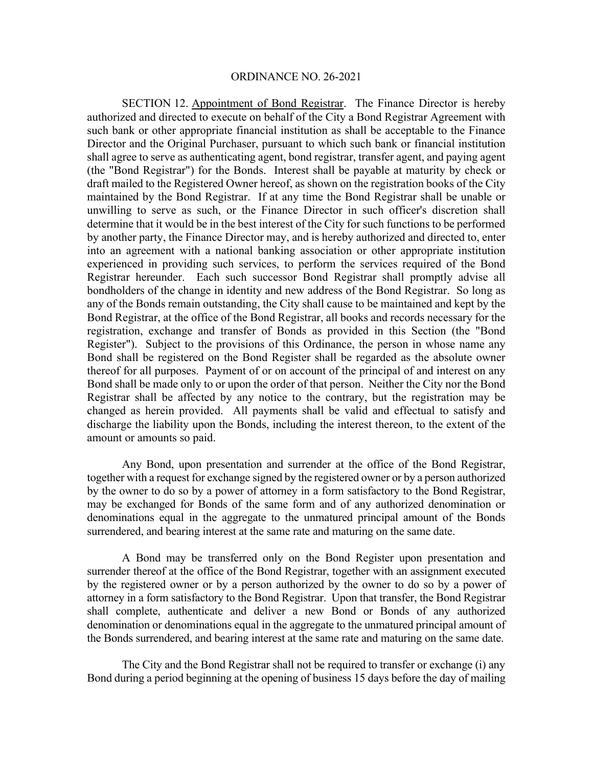SECTION 12. Appointment of Bond Registrar. The Finance Director is hereby authorized and directed to execute on behalf of the City a Bond Registrar Agreement with such bank or other appropriate financial institution as shall be acceptable to the Finance Director and the Original Purchaser, pursuant to which such bank or financial institution shall agree to serve as authenticating agent, bond registrar, transfer agent, and paying agent (the "Bond Registrar") for the Bonds. Interest shall be payable at maturity by check or draft mailed to the Registered Owner hereof, as shown on the registration books of the City maintained by the Bond Registrar. If at any time the Bond Registrar shall be unable or unwilling to serve as such, or the Finance Director in such officer's discretion shall determine that it would be in the best interest of the City for such functions to be performed by another party, the Finance Director may, and is hereby authorized and directed to, enter into an agreement with a national banking association or other appropriate institution experienced in providing such services, to perform the services required of the Bond Registrar hereunder. Each such successor Bond Registrar shall promptly advise all bondholders of the change in identity and new address of the Bond Registrar. So long as any of the Bonds remain outstanding, the City shall cause to be maintained and kept by the Bond Registrar, at the office of the Bond Registrar, all books and records necessary for the registration, exchange and transfer of Bonds as provided in this Section (the "Bond Register"). Subject to the provisions of this Ordinance, the person in whose name any Bond shall be registered on the Bond Register shall be regarded as the absolute owner thereof for all purposes. Payment of or on account of the principal of and interest on any Bond shall be made only to or upon the order of that person. Neither the City nor the Bond Registrar shall be affected by any notice to the contrary, but the registration may be changed as herein provided. All payments shall be valid and effectual to satisfy and discharge the liability upon the Bonds, including the interest thereon, to the extent of the amount or amounts so paid.

 Any Bond, upon presentation and surrender at the office of the Bond Registrar, together with a request for exchange signed by the registered owner or by a person authorized by the owner to do so by a power of attorney in a form satisfactory to the Bond Registrar, may be exchanged for Bonds of the same form and of any authorized denomination or denominations equal in the aggregate to the unmatured principal amount of the Bonds surrendered, and bearing interest at the same rate and maturing on the same date.

 A Bond may be transferred only on the Bond Register upon presentation and surrender thereof at the office of the Bond Registrar, together with an assignment executed by the registered owner or by a person authorized by the owner to do so by a power of attorney in a form satisfactory to the Bond Registrar. Upon that transfer, the Bond Registrar shall complete, authenticate and deliver a new Bond or Bonds of any authorized denomination or denominations equal in the aggregate to the unmatured principal amount of the Bonds surrendered, and bearing interest at the same rate and maturing on the same date.

 The City and the Bond Registrar shall not be required to transfer or exchange (i) any Bond during a period beginning at the opening of business 15 days before the day of mailing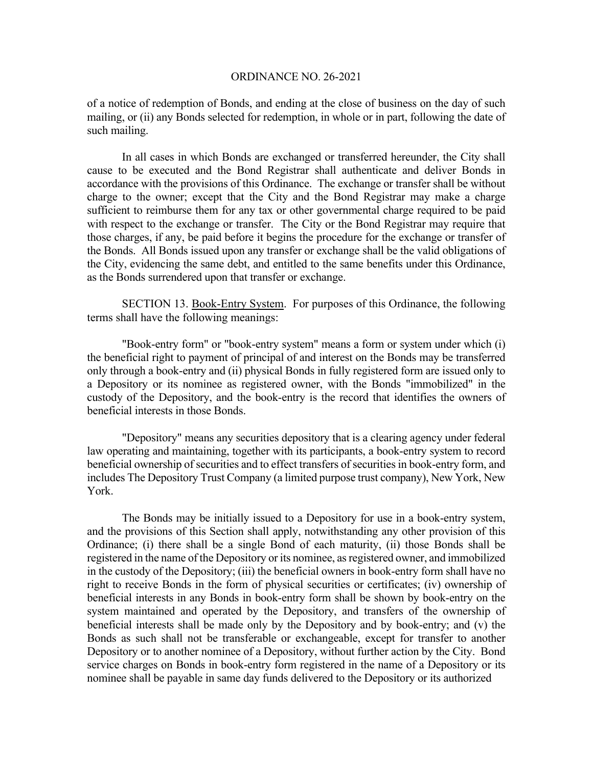of a notice of redemption of Bonds, and ending at the close of business on the day of such mailing, or (ii) any Bonds selected for redemption, in whole or in part, following the date of such mailing.

In all cases in which Bonds are exchanged or transferred hereunder, the City shall cause to be executed and the Bond Registrar shall authenticate and deliver Bonds in accordance with the provisions of this Ordinance. The exchange or transfer shall be without charge to the owner; except that the City and the Bond Registrar may make a charge sufficient to reimburse them for any tax or other governmental charge required to be paid with respect to the exchange or transfer. The City or the Bond Registrar may require that those charges, if any, be paid before it begins the procedure for the exchange or transfer of the Bonds. All Bonds issued upon any transfer or exchange shall be the valid obligations of the City, evidencing the same debt, and entitled to the same benefits under this Ordinance, as the Bonds surrendered upon that transfer or exchange.

 SECTION 13. Book-Entry System. For purposes of this Ordinance, the following terms shall have the following meanings:

 "Book-entry form" or "book-entry system" means a form or system under which (i) the beneficial right to payment of principal of and interest on the Bonds may be transferred only through a book-entry and (ii) physical Bonds in fully registered form are issued only to a Depository or its nominee as registered owner, with the Bonds "immobilized" in the custody of the Depository, and the book-entry is the record that identifies the owners of beneficial interests in those Bonds.

 "Depository" means any securities depository that is a clearing agency under federal law operating and maintaining, together with its participants, a book-entry system to record beneficial ownership of securities and to effect transfers of securities in book-entry form, and includes The Depository Trust Company (a limited purpose trust company), New York, New York.

 The Bonds may be initially issued to a Depository for use in a book-entry system, and the provisions of this Section shall apply, notwithstanding any other provision of this Ordinance; (i) there shall be a single Bond of each maturity, (ii) those Bonds shall be registered in the name of the Depository or its nominee, as registered owner, and immobilized in the custody of the Depository; (iii) the beneficial owners in book-entry form shall have no right to receive Bonds in the form of physical securities or certificates; (iv) ownership of beneficial interests in any Bonds in book-entry form shall be shown by book-entry on the system maintained and operated by the Depository, and transfers of the ownership of beneficial interests shall be made only by the Depository and by book-entry; and (v) the Bonds as such shall not be transferable or exchangeable, except for transfer to another Depository or to another nominee of a Depository, without further action by the City. Bond service charges on Bonds in book-entry form registered in the name of a Depository or its nominee shall be payable in same day funds delivered to the Depository or its authorized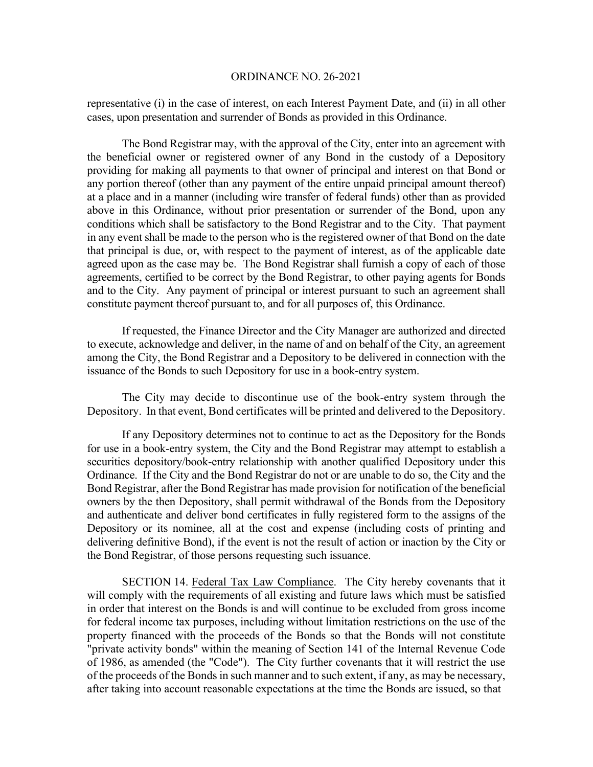representative (i) in the case of interest, on each Interest Payment Date, and (ii) in all other cases, upon presentation and surrender of Bonds as provided in this Ordinance.

 The Bond Registrar may, with the approval of the City, enter into an agreement with the beneficial owner or registered owner of any Bond in the custody of a Depository providing for making all payments to that owner of principal and interest on that Bond or any portion thereof (other than any payment of the entire unpaid principal amount thereof) at a place and in a manner (including wire transfer of federal funds) other than as provided above in this Ordinance, without prior presentation or surrender of the Bond, upon any conditions which shall be satisfactory to the Bond Registrar and to the City. That payment in any event shall be made to the person who is the registered owner of that Bond on the date that principal is due, or, with respect to the payment of interest, as of the applicable date agreed upon as the case may be. The Bond Registrar shall furnish a copy of each of those agreements, certified to be correct by the Bond Registrar, to other paying agents for Bonds and to the City. Any payment of principal or interest pursuant to such an agreement shall constitute payment thereof pursuant to, and for all purposes of, this Ordinance.

 If requested, the Finance Director and the City Manager are authorized and directed to execute, acknowledge and deliver, in the name of and on behalf of the City, an agreement among the City, the Bond Registrar and a Depository to be delivered in connection with the issuance of the Bonds to such Depository for use in a book-entry system.

The City may decide to discontinue use of the book-entry system through the Depository. In that event, Bond certificates will be printed and delivered to the Depository.

 If any Depository determines not to continue to act as the Depository for the Bonds for use in a book-entry system, the City and the Bond Registrar may attempt to establish a securities depository/book-entry relationship with another qualified Depository under this Ordinance. If the City and the Bond Registrar do not or are unable to do so, the City and the Bond Registrar, after the Bond Registrar has made provision for notification of the beneficial owners by the then Depository, shall permit withdrawal of the Bonds from the Depository and authenticate and deliver bond certificates in fully registered form to the assigns of the Depository or its nominee, all at the cost and expense (including costs of printing and delivering definitive Bond), if the event is not the result of action or inaction by the City or the Bond Registrar, of those persons requesting such issuance.

 SECTION 14. Federal Tax Law Compliance. The City hereby covenants that it will comply with the requirements of all existing and future laws which must be satisfied in order that interest on the Bonds is and will continue to be excluded from gross income for federal income tax purposes, including without limitation restrictions on the use of the property financed with the proceeds of the Bonds so that the Bonds will not constitute "private activity bonds" within the meaning of Section 141 of the Internal Revenue Code of 1986, as amended (the "Code"). The City further covenants that it will restrict the use of the proceeds of the Bonds in such manner and to such extent, if any, as may be necessary, after taking into account reasonable expectations at the time the Bonds are issued, so that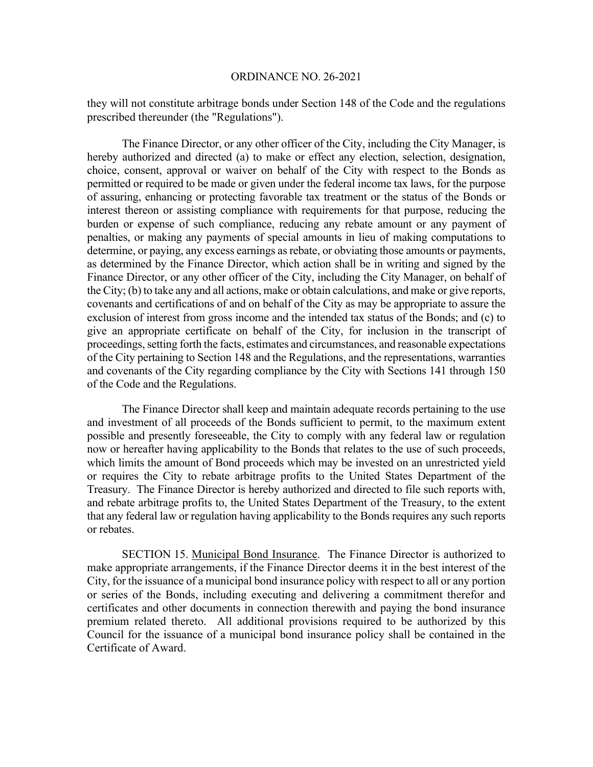they will not constitute arbitrage bonds under Section 148 of the Code and the regulations prescribed thereunder (the "Regulations").

The Finance Director, or any other officer of the City, including the City Manager, is hereby authorized and directed (a) to make or effect any election, selection, designation, choice, consent, approval or waiver on behalf of the City with respect to the Bonds as permitted or required to be made or given under the federal income tax laws, for the purpose of assuring, enhancing or protecting favorable tax treatment or the status of the Bonds or interest thereon or assisting compliance with requirements for that purpose, reducing the burden or expense of such compliance, reducing any rebate amount or any payment of penalties, or making any payments of special amounts in lieu of making computations to determine, or paying, any excess earnings as rebate, or obviating those amounts or payments, as determined by the Finance Director, which action shall be in writing and signed by the Finance Director, or any other officer of the City, including the City Manager, on behalf of the City; (b) to take any and all actions, make or obtain calculations, and make or give reports, covenants and certifications of and on behalf of the City as may be appropriate to assure the exclusion of interest from gross income and the intended tax status of the Bonds; and (c) to give an appropriate certificate on behalf of the City, for inclusion in the transcript of proceedings, setting forth the facts, estimates and circumstances, and reasonable expectations of the City pertaining to Section 148 and the Regulations, and the representations, warranties and covenants of the City regarding compliance by the City with Sections 141 through 150 of the Code and the Regulations.

The Finance Director shall keep and maintain adequate records pertaining to the use and investment of all proceeds of the Bonds sufficient to permit, to the maximum extent possible and presently foreseeable, the City to comply with any federal law or regulation now or hereafter having applicability to the Bonds that relates to the use of such proceeds, which limits the amount of Bond proceeds which may be invested on an unrestricted yield or requires the City to rebate arbitrage profits to the United States Department of the Treasury. The Finance Director is hereby authorized and directed to file such reports with, and rebate arbitrage profits to, the United States Department of the Treasury, to the extent that any federal law or regulation having applicability to the Bonds requires any such reports or rebates.

 SECTION 15. Municipal Bond Insurance. The Finance Director is authorized to make appropriate arrangements, if the Finance Director deems it in the best interest of the City, for the issuance of a municipal bond insurance policy with respect to all or any portion or series of the Bonds, including executing and delivering a commitment therefor and certificates and other documents in connection therewith and paying the bond insurance premium related thereto. All additional provisions required to be authorized by this Council for the issuance of a municipal bond insurance policy shall be contained in the Certificate of Award.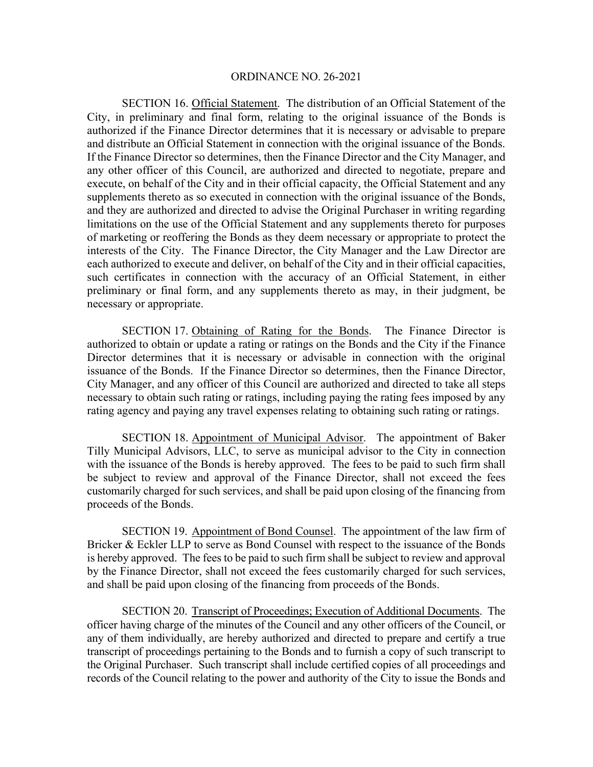SECTION 16. Official Statement. The distribution of an Official Statement of the City, in preliminary and final form, relating to the original issuance of the Bonds is authorized if the Finance Director determines that it is necessary or advisable to prepare and distribute an Official Statement in connection with the original issuance of the Bonds. If the Finance Director so determines, then the Finance Director and the City Manager, and any other officer of this Council, are authorized and directed to negotiate, prepare and execute, on behalf of the City and in their official capacity, the Official Statement and any supplements thereto as so executed in connection with the original issuance of the Bonds, and they are authorized and directed to advise the Original Purchaser in writing regarding limitations on the use of the Official Statement and any supplements thereto for purposes of marketing or reoffering the Bonds as they deem necessary or appropriate to protect the interests of the City. The Finance Director, the City Manager and the Law Director are each authorized to execute and deliver, on behalf of the City and in their official capacities, such certificates in connection with the accuracy of an Official Statement, in either preliminary or final form, and any supplements thereto as may, in their judgment, be necessary or appropriate.

 SECTION 17. Obtaining of Rating for the Bonds. The Finance Director is authorized to obtain or update a rating or ratings on the Bonds and the City if the Finance Director determines that it is necessary or advisable in connection with the original issuance of the Bonds. If the Finance Director so determines, then the Finance Director, City Manager, and any officer of this Council are authorized and directed to take all steps necessary to obtain such rating or ratings, including paying the rating fees imposed by any rating agency and paying any travel expenses relating to obtaining such rating or ratings.

 SECTION 18. Appointment of Municipal Advisor. The appointment of Baker Tilly Municipal Advisors, LLC, to serve as municipal advisor to the City in connection with the issuance of the Bonds is hereby approved. The fees to be paid to such firm shall be subject to review and approval of the Finance Director, shall not exceed the fees customarily charged for such services, and shall be paid upon closing of the financing from proceeds of the Bonds.

SECTION 19. Appointment of Bond Counsel. The appointment of the law firm of Bricker & Eckler LLP to serve as Bond Counsel with respect to the issuance of the Bonds is hereby approved. The fees to be paid to such firm shall be subject to review and approval by the Finance Director, shall not exceed the fees customarily charged for such services, and shall be paid upon closing of the financing from proceeds of the Bonds.

 SECTION 20. Transcript of Proceedings; Execution of Additional Documents. The officer having charge of the minutes of the Council and any other officers of the Council, or any of them individually, are hereby authorized and directed to prepare and certify a true transcript of proceedings pertaining to the Bonds and to furnish a copy of such transcript to the Original Purchaser. Such transcript shall include certified copies of all proceedings and records of the Council relating to the power and authority of the City to issue the Bonds and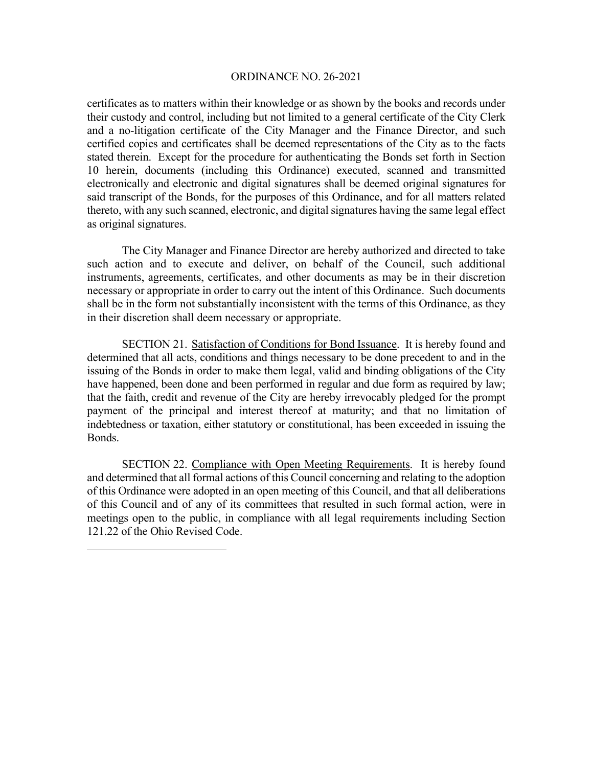certificates as to matters within their knowledge or as shown by the books and records under their custody and control, including but not limited to a general certificate of the City Clerk and a no-litigation certificate of the City Manager and the Finance Director, and such certified copies and certificates shall be deemed representations of the City as to the facts stated therein. Except for the procedure for authenticating the Bonds set forth in Section 10 herein, documents (including this Ordinance) executed, scanned and transmitted electronically and electronic and digital signatures shall be deemed original signatures for said transcript of the Bonds, for the purposes of this Ordinance, and for all matters related thereto, with any such scanned, electronic, and digital signatures having the same legal effect as original signatures.

The City Manager and Finance Director are hereby authorized and directed to take such action and to execute and deliver, on behalf of the Council, such additional instruments, agreements, certificates, and other documents as may be in their discretion necessary or appropriate in order to carry out the intent of this Ordinance. Such documents shall be in the form not substantially inconsistent with the terms of this Ordinance, as they in their discretion shall deem necessary or appropriate.

 SECTION 21. Satisfaction of Conditions for Bond Issuance. It is hereby found and determined that all acts, conditions and things necessary to be done precedent to and in the issuing of the Bonds in order to make them legal, valid and binding obligations of the City have happened, been done and been performed in regular and due form as required by law; that the faith, credit and revenue of the City are hereby irrevocably pledged for the prompt payment of the principal and interest thereof at maturity; and that no limitation of indebtedness or taxation, either statutory or constitutional, has been exceeded in issuing the Bonds.

 SECTION 22. Compliance with Open Meeting Requirements. It is hereby found and determined that all formal actions of this Council concerning and relating to the adoption of this Ordinance were adopted in an open meeting of this Council, and that all deliberations of this Council and of any of its committees that resulted in such formal action, were in meetings open to the public, in compliance with all legal requirements including Section 121.22 of the Ohio Revised Code.

 $\overline{a}$